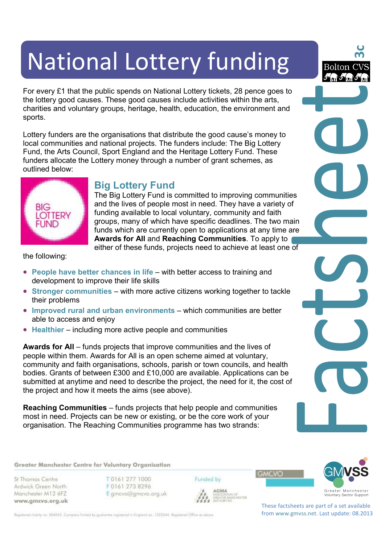# National Lottery funding

For every £1 that the public spends on National Lottery tickets, 28 pence goes to the lottery good causes. These good causes include activities within the arts, charities and voluntary groups, heritage, health, education, the environment and sports.

Lottery funders are the organisations that distribute the good cause's money to local communities and national projects. The funders include: The Big Lottery Fund, the Arts Council, Sport England and the Heritage Lottery Fund. These funders allocate the Lottery money through a number of grant schemes, as outlined below:



## **Big Lottery Fund**

The Big Lottery Fund is committed to improving communities and the lives of people most in need. They have a variety of funding available to local voluntary, community and faith groups, many of which have specific deadlines. The two main funds which are currently open to applications at any time are **Awards for All** and **Reaching Communities**. To apply to either of these funds, projects need to achieve at least one of

the following:

- **People have better chances in life** with better access to training and development to improve their life skills
- **Stronger communities** with more active citizens working together to tackle their problems
- **Improved rural and urban environments** which communities are better able to access and enjoy
- **Healthier** including more active people and communities

**Awards for All** – funds projects that improve communities and the lives of people within them. Awards for All is an open scheme aimed at voluntary, community and faith organisations, schools, parish or town councils, and health bodies. Grants of between £300 and £10,000 are available. Applications can be submitted at anytime and need to describe the project, the need for it, the cost of the project and how it meets the aims (see above).

**Reaching Communities** – funds projects that help people and communities most in need. Projects can be new or existing, or be the core work of your organisation. The Reaching Communities programme has two strands:

#### Greater Manchester Centre for Voluntary Organisation

St Thomas Centre Ardwick Green North Manchester M12 6FZ www.gmcvo.org.uk T0161 277 1000 F0161 273 8296 E gmcvo@gmcvo.org.uk Funded by



**3c**

Bolton (

AGMA **GREATER MANCHESTER**  **GMCVO** 



These factsheets are part of a set available from www.gmvss.net. Last update: 08.2013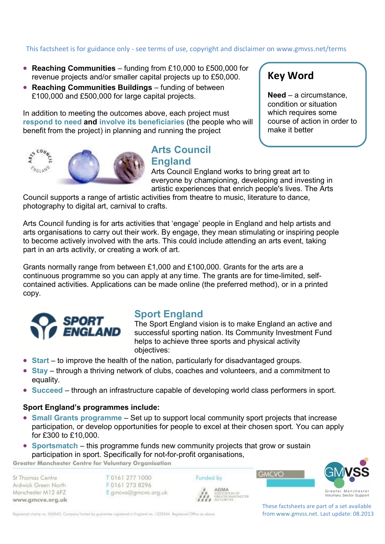# This factsheet is for guidance only - see terms of use, copyright and disclaimer on www.gmvss.net/terms

- **Reaching Communities** funding from £10,000 to £500,000 for revenue projects and/or smaller capital projects up to £50,000.
- **Reaching Communities Buildings** funding of between £100,000 and £500,000 for large capital projects.

In addition to meeting the outcomes above, each project must **respond to need and involve its beneficiaries** (the people who will benefit from the project) in planning and running the project



## **Arts Council England**

**Key Word** 

**Need** – a circumstance, condition or situation which requires some course of action in order to make it better

Arts Council England works to bring great art to everyone by championing, developing and investing in artistic experiences that enrich people's lives. The Arts

Council supports a range of artistic activities from theatre to music, literature to dance, photography to digital art, carnival to crafts.

Arts Council funding is for arts activities that 'engage' people in England and help artists and arts organisations to carry out their work. By engage, they mean stimulating or inspiring people to become actively involved with the arts. This could include attending an arts event, taking part in an arts activity, or creating a work of art.

Grants normally range from between £1,000 and £100,000. Grants for the arts are a continuous programme so you can apply at any time. The grants are for time-limited, selfcontained activities. Applications can be made online (the preferred method), or in a printed copy.



## **Sport England**

The Sport England vision is to make England an active and successful sporting nation. Its Community Investment Fund helps to achieve three sports and physical activity objectives:

- **Start** to improve the health of the nation, particularly for disadvantaged groups.
- **Stay** through a thriving network of clubs, coaches and volunteers, and a commitment to equality.
- **Succeed** through an infrastructure capable of developing world class performers in sport.

#### **Sport England's programmes include:**

- **Small Grants programme** Set up to support local community sport projects that increase participation, or develop opportunities for people to excel at their chosen sport. You can apply for £300 to £10,000.
- **Sportsmatch** this programme funds new community projects that grow or sustain participation in sport. Specifically for not-for-profit organisations,

Greater Manchester Centre for Voluntary Organisation

St Thomas Centre Ardwick Green North Manchester M12 6FZ www.gmcvo.org.uk T0161 277 1000 F0161 273 8296 E gmcvo@gmcvo.org.uk Funded by **AGM/** 



Registered charity no. 504542. Company limited by guarantee registered in England no. 1223344. Registered Office as obove

These factsheets are part of a set available from www.gmvss.net. Last update: 08.2013

**GMCVO**